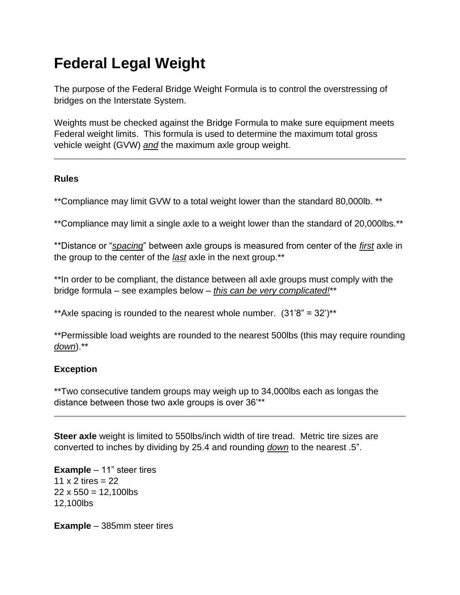# **Federal Legal Weight**

The purpose of the Federal Bridge Weight Formula is to control the overstressing of bridges on the Interstate System.

Weights must be checked against the Bridge Formula to make sure equipment meets Federal weight limits. This formula is used to determine the maximum total gross vehicle weight (GVW) *and* the maximum axle group weight.

## **Rules**

\*\*Compliance may limit GVW to a total weight lower than the standard 80,000lb. \*\*

\*\*Compliance may limit a single axle to a weight lower than the standard of 20,000lbs.\*\*

\*\*Distance or "*spacing*" between axle groups is measured from center of the *first* axle in the group to the center of the *last* axle in the next group.\*\*

\*\*In order to be compliant, the distance between all axle groups must comply with the bridge formula – see examples below – *this can be very complicated!*\*\*

\*\*Axle spacing is rounded to the nearest whole number.  $(31'8" = 32')$ \*\*

\*\*Permissible load weights are rounded to the nearest 500lbs (this may require rounding *down*).\*\*

# **Exception**

\*\*Two consecutive tandem groups may weigh up to 34,000lbs each as longas the distance between those two axle groups is over 36'\*\*

**Steer axle** weight is limited to 550lbs/inch width of tire tread. Metric tire sizes are converted to inches by dividing by 25.4 and rounding *down* to the nearest .5".

**Example** – 11" steer tires 11  $\times$  2 tires = 22  $22 \times 550 = 12,100$ lbs 12,100lbs

**Example** – 385mm steer tires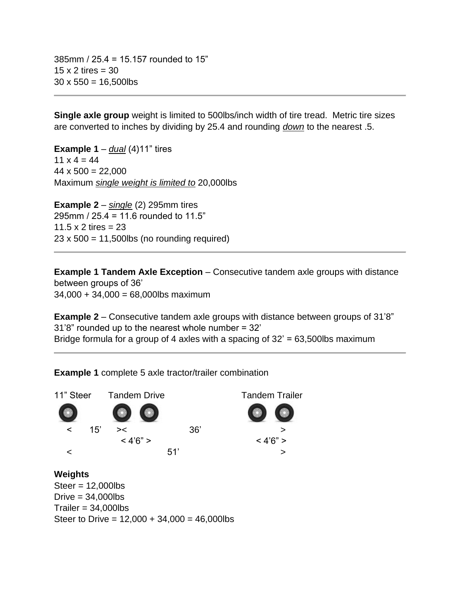385mm / 25.4 = 15.157 rounded to 15"  $15 \times 2$  tires = 30  $30 \times 550 = 16,500$ lbs

**Single axle group** weight is limited to 500lbs/inch width of tire tread. Metric tire sizes are converted to inches by dividing by 25.4 and rounding *down* to the nearest .5.

**Example 1** – *dual* (4)11" tires  $11 \times 4 = 44$  $44 \times 500 = 22,000$ Maximum *single weight is limited to* 20,000lbs

**Example 2** – *single* (2) 295mm tires 295mm / 25.4 = 11.6 rounded to 11.5" 11.5  $\times$  2 tires = 23  $23 \times 500 = 11,500$ lbs (no rounding required)

**Example 1 Tandem Axle Exception** – Consecutive tandem axle groups with distance between groups of 36'  $34,000 + 34,000 = 68,000$ lbs maximum

**Example 2** – Consecutive tandem axle groups with distance between groups of 31'8" 31'8" rounded up to the nearest whole number = 32' Bridge formula for a group of 4 axles with a spacing of  $32' = 63,500$ lbs maximum

**Example 1** complete 5 axle tractor/trailer combination



Steer to Drive =  $12,000 + 34,000 = 46,000$ lbs